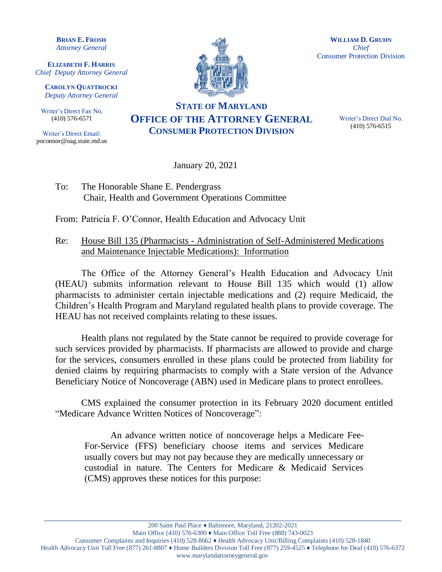**BRIAN E. FROSH** *Attorney General*

**ELIZABETH F. HARRIS** *Chief Deputy Attorney General*

**CAROLYN QUATTROCKI** *Deputy Attorney General*

Writer's Direct Fax No. (410) 576-6571

Writer's Direct Email: poconnor@oag.state.md.us



**WILLIAM D. GRUHN** *Chief* Consumer Protection Division

## **STATE OF MARYLAND OFFICE OF THE ATTORNEY GENERAL CONSUMER PROTECTION DIVISION**

Writer's Direct Dial No. (410) 576-6515

January 20, 2021

To: The Honorable Shane E. Pendergrass Chair, Health and Government Operations Committee

From: Patricia F. O'Connor, Health Education and Advocacy Unit

Re: House Bill 135 (Pharmacists - Administration of Self-Administered Medications and Maintenance Injectable Medications): Information

The Office of the Attorney General's Health Education and Advocacy Unit (HEAU) submits information relevant to House Bill 135 which would (1) allow pharmacists to administer certain injectable medications and (2) require Medicaid, the Children's Health Program and Maryland regulated health plans to provide coverage. The HEAU has not received complaints relating to these issues.

Health plans not regulated by the State cannot be required to provide coverage for such services provided by pharmacists. If pharmacists are allowed to provide and charge for the services, consumers enrolled in these plans could be protected from liability for denied claims by requiring pharmacists to comply with a State version of the Advance Beneficiary Notice of Noncoverage (ABN) used in Medicare plans to protect enrollees.

CMS explained the consumer protection in its February 2020 document entitled "Medicare Advance Written Notices of Noncoverage":

An advance written notice of noncoverage helps a Medicare Fee-For-Service (FFS) beneficiary choose items and services Medicare usually covers but may not pay because they are medically unnecessary or custodial in nature. The Centers for Medicare & Medicaid Services (CMS) approves these notices for this purpose:

**\_\_\_\_\_\_\_\_\_\_\_\_\_\_\_\_\_\_\_\_\_\_\_\_\_\_\_\_\_\_\_\_\_\_\_\_\_\_\_\_\_\_\_\_\_\_\_\_\_\_\_\_\_\_\_\_\_\_\_\_\_\_\_\_\_\_\_\_\_\_\_\_\_\_\_\_\_\_\_\_\_\_\_\_\_\_\_\_\_\_\_\_\_\_\_\_\_\_\_\_\_\_\_\_\_\_\_\_\_\_**